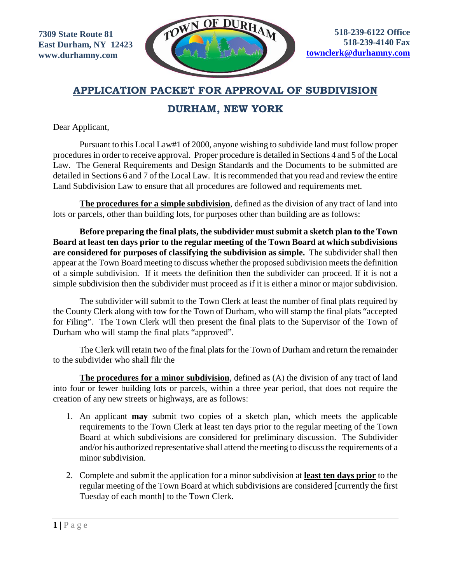

### **APPLICATION PACKET FOR APPROVAL OF SUBDIVISION**

## **DURHAM, NEW YORK**

Dear Applicant,

Pursuant to this Local Law#1 of 2000, anyone wishing to subdivide land must follow proper procedures in order to receive approval. Proper procedure is detailed in Sections 4 and 5 of the Local Law. The General Requirements and Design Standards and the Documents to be submitted are detailed in Sections 6 and 7 of the Local Law. It is recommended that you read and review the entire Land Subdivision Law to ensure that all procedures are followed and requirements met.

**The procedures for a simple subdivision**, defined as the division of any tract of land into lots or parcels, other than building lots, for purposes other than building are as follows:

**Before preparing the final plats, the subdivider must submit a sketch plan to the Town Board at least ten days prior to the regular meeting of the Town Board at which subdivisions are considered for purposes of classifying the subdivision as simple.** The subdivider shall then appear at the Town Board meeting to discuss whether the proposed subdivision meets the definition of a simple subdivision. If it meets the definition then the subdivider can proceed. If it is not a simple subdivision then the subdivider must proceed as if it is either a minor or major subdivision.

The subdivider will submit to the Town Clerk at least the number of final plats required by the County Clerk along with tow for the Town of Durham, who will stamp the final plats "accepted for Filing". The Town Clerk will then present the final plats to the Supervisor of the Town of Durham who will stamp the final plats "approved".

The Clerk will retain two of the final plats for the Town of Durham and return the remainder to the subdivider who shall filr the

**The procedures for a minor subdivision**, defined as (Α) the division of any tract of land into four or fewer building lots or parcels, within a three year period, that does not require the creation of any new streets or highways, are as follows:

- 1. An applicant **may** submit two copies of a sketch plan, which meets the applicable requirements to the Town Clerk at least ten days prior to the regular meeting of the Town Board at which subdivisions are considered for preliminary discussion. The Subdivider and/or his authorized representative shall attend the meeting to discuss the requirements of a minor subdivision.
- 2. Complete and submit the application for a minor subdivision at **least ten days prior** to the regular meeting of the Town Board at which subdivisions are considered [currently the first Tuesday of each month] to the Town Clerk.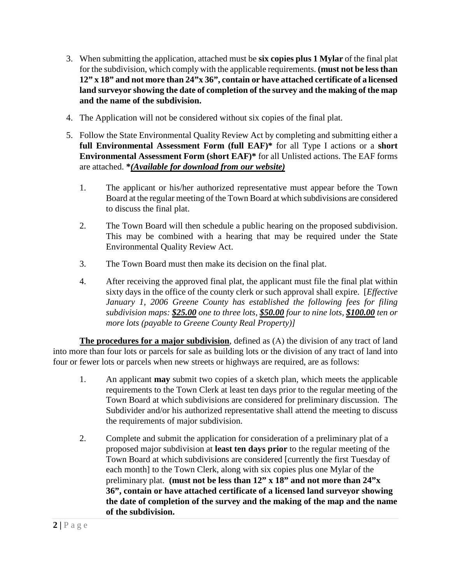- 3. When submitting the application, attached must be **six copies plus 1 Mylar** of the final plat for the subdivision, which comply with the applicable requirements. **(must not be less than 12" x 18" and not more than 24"x 36", contain or have attached certificate of a licensed land surveyor showing the date of completion of the survey and the making of the map and the name of the subdivision.**
- 4. The Application will not be considered without six copies of the final plat.
- 5. Follow the State Environmental Quality Review Act by completing and submitting either a **full Environmental Assessment Form (full EAF)\*** for all Type I actions or a **short Environmental Assessment Form (short EAF)\*** for all Unlisted actions. The EAF forms are attached. **\****(Available for download from our website)*
	- 1. The applicant or his/her authorized representative must appear before the Town Board at the regular meeting of the Town Board at which subdivisions are considered to discuss the final plat.
	- 2. The Town Board will then schedule a public hearing on the proposed subdivision. This may be combined with a hearing that may be required under the State Environmental Quality Review Act.
	- 3. The Town Board must then make its decision on the final plat.
	- 4. After receiving the approved final plat, the applicant must file the final plat within sixty days in the office of the county clerk or such approval shall expire. [*Effective January 1, 2006 Greene County has established the following fees for filing subdivision maps: \$25.00 one to three lots, \$50.00 four to nine lots, \$100.00 ten or more lots (payable to Greene County Real Property)]*

**The procedures for a major subdivision**, defined as (Α) the division of any tract of land into more than four lots or parcels for sale as building lots or the division of any tract of land into four or fewer lots or parcels when new streets or highways are required, are as follows:

- 1. An applicant **may** submit two copies of a sketch plan, which meets the applicable requirements to the Town Clerk at least ten days prior to the regular meeting of the Town Board at which subdivisions are considered for preliminary discussion. The Subdivider and/or his authorized representative shall attend the meeting to discuss the requirements of major subdivision.
- 2. Complete and submit the application for consideration of a preliminary plat of a proposed major subdivision at **least ten days prior** to the regular meeting of the Town Board at which subdivisions are considered [currently the first Tuesday of each month] to the Town Clerk, along with six copies plus one Mylar of the preliminary plat. **(must not be less than 12" x 18" and not more than 24"x 36", contain or have attached certificate of a licensed land surveyor showing the date of completion of the survey and the making of the map and the name of the subdivision.**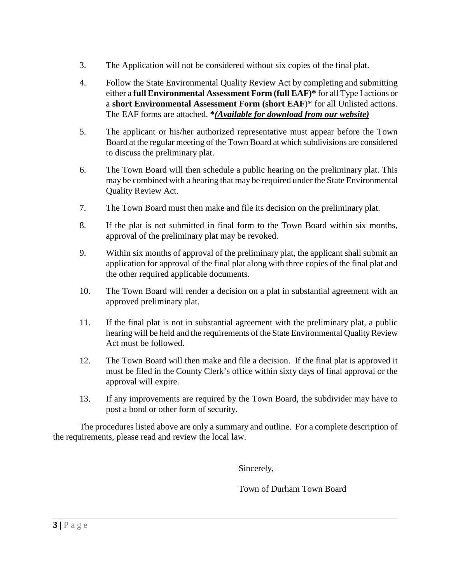- 3. The Application will not be considered without six copies of the final plat.
- 4. Follow the State Environmental Quality Review Act by completing and submitting either a **full Environmental Assessment Form (full EAF)\*** for all Type I actions or a **short Environmental Assessment Form (short EAF**)\* for all Unlisted actions. The EAF forms are attached. **\****(Available for download from our website)*
- 5. The applicant or his/her authorized representative must appear before the Town Board at the regular meeting of the Town Board at which subdivisions are considered to discuss the preliminary plat.
- 6. The Town Board will then schedule a public hearing on the preliminary plat. This may be combined with a hearing that may be required under the State Environmental Quality Review Act.
- 7. The Town Board must then make and file its decision on the preliminary plat.
- 8. If the plat is not submitted in final form to the Town Board within six months, approval of the preliminary plat may be revoked.
- 9. Within six months of approval of the preliminary plat, the applicant shall submit an application for approval of the final plat along with three copies of the final plat and the other required applicable documents.
- 10. The Town Board will render a decision on a plat in substantial agreement with an approved preliminary plat.
- 11. If the final plat is not in substantial agreement with the preliminary plat, a public hearing will be held and the requirements of the State Environmental Quality Review Act must be followed.
- 12. The Town Board will then make and file a decision. If the final plat is approved it must be filed in the County Clerk's office within sixty days of final approval or the approval will expire.
- 13. If any improvements are required by the Town Board, the subdivider may have to post a bond or other form of security.

The procedures listed above are only a summary and outline. For a complete description of the requirements, please read and review the local law.

Sincerely,

Town of Durham Town Board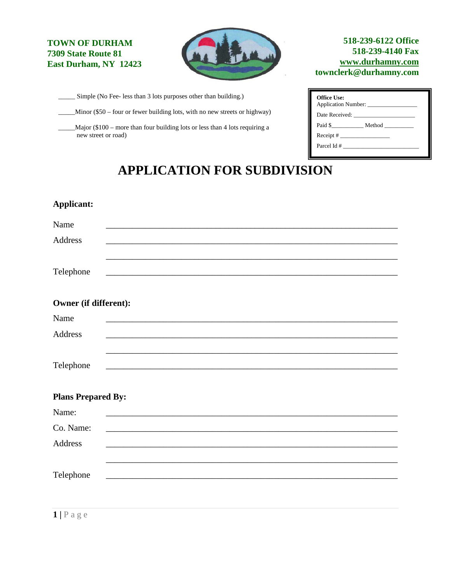#### **TOWN OF DURHAM 7309 State Route 81 East Durham, NY 12423**



Simple (No Fee- less than 3 lots purposes other than building.)

\_Minor (\$50 – four or fewer building lots, with no new streets or highway)

\_\_\_\_\_Major (\$100 – more than four building lots or less than 4 lots requiring a new street or road)

#### **518-239-6122 Office 518-239-4140 Fax [www.durhamny.com](http://www.durhamny.com/) townclerk@durhamny.com**

| Office Use:<br>Application Number: |  |
|------------------------------------|--|
|                                    |  |
| Paid \$                            |  |
|                                    |  |
|                                    |  |

# **APPLICATION FOR SUBDIVISION**

| Owner (if different):     |  |                                                            |  |
|---------------------------|--|------------------------------------------------------------|--|
|                           |  |                                                            |  |
|                           |  |                                                            |  |
|                           |  |                                                            |  |
| <b>Plans Prepared By:</b> |  |                                                            |  |
|                           |  |                                                            |  |
|                           |  |                                                            |  |
|                           |  |                                                            |  |
|                           |  |                                                            |  |
|                           |  | <u> 1989 - Johann Barbara, martxa alemaniar amerikan a</u> |  |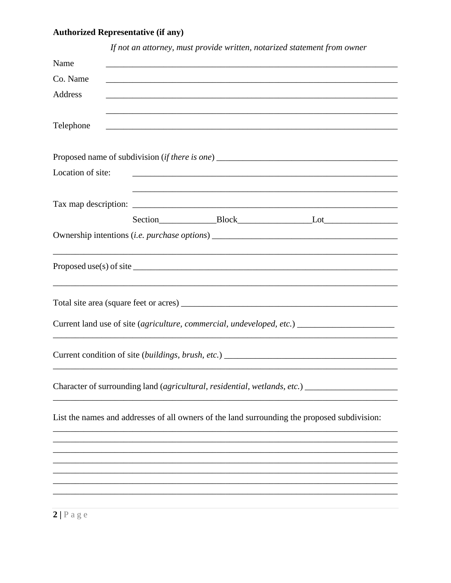# **Authorized Representative (if any)**

|                   | If not an attorney, must provide written, notarized statement from owner                            |
|-------------------|-----------------------------------------------------------------------------------------------------|
| Name              |                                                                                                     |
| Co. Name          |                                                                                                     |
| Address           |                                                                                                     |
|                   |                                                                                                     |
| Telephone         |                                                                                                     |
|                   |                                                                                                     |
|                   |                                                                                                     |
| Location of site: |                                                                                                     |
|                   |                                                                                                     |
|                   |                                                                                                     |
|                   |                                                                                                     |
|                   | Ownership intentions (i.e. purchase options) ___________________________________                    |
|                   |                                                                                                     |
|                   | Proposed use(s) of site $\_\_\_\_\_\_\_\_\_\_$                                                      |
|                   |                                                                                                     |
|                   |                                                                                                     |
|                   | Current land use of site (agriculture, commercial, undeveloped, etc.) _____________________________ |
|                   |                                                                                                     |
|                   |                                                                                                     |
|                   |                                                                                                     |
|                   | Character of surrounding land (agricultural, residential, wetlands, etc.) _                         |
|                   |                                                                                                     |
|                   | List the names and addresses of all owners of the land surrounding the proposed subdivision:        |
|                   |                                                                                                     |
|                   |                                                                                                     |
|                   |                                                                                                     |
|                   |                                                                                                     |
|                   |                                                                                                     |